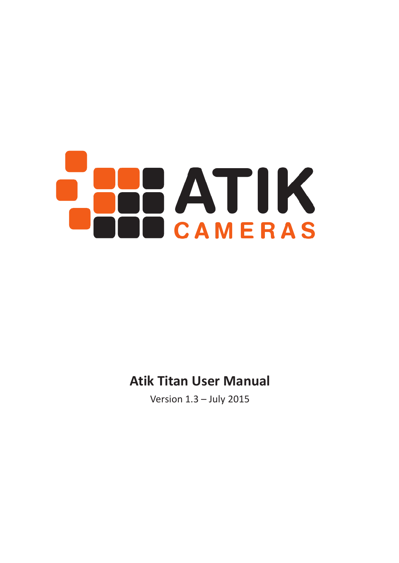# **BBATIK** CAMERAS

## **Atik Titan User Manual**

Version 1.3 – July 2015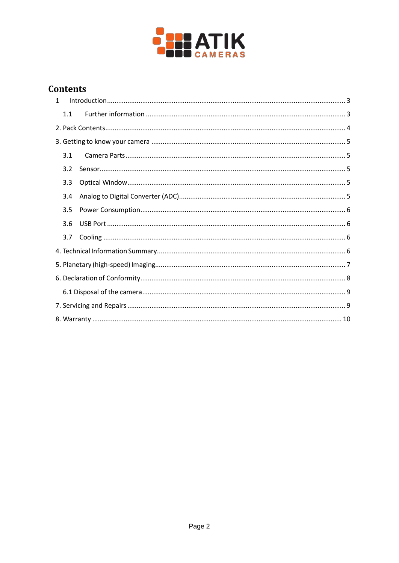

## **Contents**

| $\mathbf{1}$ |     |  |  |  |  |  |  |  |
|--------------|-----|--|--|--|--|--|--|--|
|              | 1.1 |  |  |  |  |  |  |  |
|              |     |  |  |  |  |  |  |  |
|              |     |  |  |  |  |  |  |  |
|              | 3.1 |  |  |  |  |  |  |  |
|              | 3.2 |  |  |  |  |  |  |  |
|              | 3.3 |  |  |  |  |  |  |  |
|              | 3.4 |  |  |  |  |  |  |  |
|              | 3.5 |  |  |  |  |  |  |  |
|              | 3.6 |  |  |  |  |  |  |  |
|              | 3.7 |  |  |  |  |  |  |  |
|              |     |  |  |  |  |  |  |  |
|              |     |  |  |  |  |  |  |  |
|              |     |  |  |  |  |  |  |  |
|              |     |  |  |  |  |  |  |  |
|              |     |  |  |  |  |  |  |  |
|              |     |  |  |  |  |  |  |  |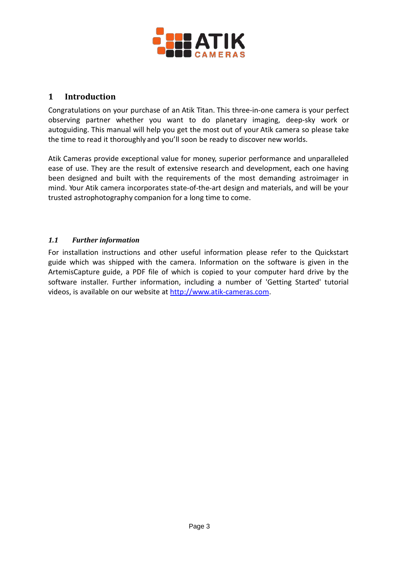

#### <span id="page-2-0"></span>**1 Introduction**

Congratulations on your purchase of an Atik Titan. This three-in-one camera is your perfect observing partner whether you want to do planetary imaging, deep-sky work or autoguiding. This manual will help you get the most out of your Atik camera so please take the time to read it thoroughly and you'll soon be ready to discover new worlds.

Atik Cameras provide exceptional value for money, superior performance and unparalleled ease of use. They are the result of extensive research and development, each one having been designed and built with the requirements of the most demanding astroimager in mind. Your Atik camera incorporates state-of-the-art design and materials, and will be your trusted astrophotography companion for a long time to come.

#### <span id="page-2-1"></span>*1.1 Further information*

For installation instructions and other useful information please refer to the Quickstart guide which was shipped with the camera. Information on the software is given in the ArtemisCapture guide, a PDF file of which is copied to your computer hard drive by the software installer. Further information, including a number of 'Getting Started' tutorial videos, is available on our website at [http://www.atik-cameras.com.](http://www.atik-cameras.com/)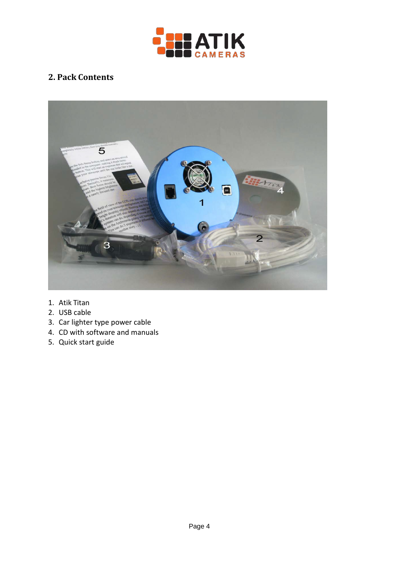

## <span id="page-3-0"></span>**2. Pack Contents**



- 1. Atik Titan
- 2. USB cable
- 3. Car lighter type power cable
- 4. CD with software and manuals
- 5. Quick start guide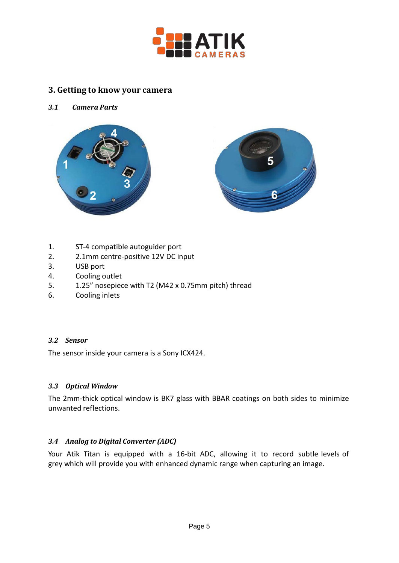

#### <span id="page-4-0"></span>**3. Getting to know your camera**

#### <span id="page-4-1"></span>*3.1 Camera Parts*





- 1. ST-4 compatible autoguider port
- 2. 2.1mm centre-positive 12V DC input
- 3. USB port
- 4. Cooling outlet
- 5. 1.25" nosepiece with T2 (M42 x 0.75mm pitch) thread
- 6. Cooling inlets

#### <span id="page-4-2"></span>*3.2 Sensor*

The sensor inside your camera is a Sony ICX424.

#### <span id="page-4-3"></span>*3.3 Optical Window*

The 2mm-thick optical window is BK7 glass with BBAR coatings on both sides to minimize unwanted reflections.

#### <span id="page-4-4"></span>*3.4 Analog to Digital Converter (ADC)*

Your Atik Titan is equipped with a 16-bit ADC, allowing it to record subtle levels of grey which will provide you with enhanced dynamic range when capturing an image.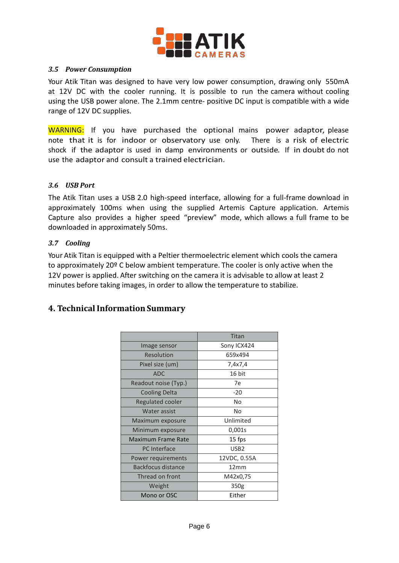

#### <span id="page-5-0"></span>*3.5 Power Consumption*

Your Atik Titan was designed to have very low power consumption, drawing only 550mA at 12V DC with the cooler running. It is possible to run the camera without cooling using the USB power alone. The 2.1mm centre- positive DC input is compatible with a wide range of 12V DC supplies.

WARNING: If you have purchased the optional mains power adaptor, please note that it is for indoor or observatory use only. There is a risk of electric shock if the adaptor is used in damp environments or outside. If in doubt do not use the adaptor and consult a trained electrician.

#### <span id="page-5-1"></span>*3.6 USB Port*

The Atik Titan uses a USB 2.0 high-speed interface, allowing for a full-frame download in approximately 100ms when using the supplied Artemis Capture application. Artemis Capture also provides a higher speed "preview" mode, which allows a full frame to be downloaded in approximately 50ms.

#### <span id="page-5-2"></span>*3.7 Cooling*

Your Atik Titan is equipped with a Peltier thermoelectric element which cools the camera to approximately 20º C below ambient temperature. The cooler is only active when the 12V power is applied. After switching on the camera it is advisable to allow at least 2 minutes before taking images, in order to allow the temperature to stabilize.

#### <span id="page-5-3"></span>**4. TechnicalInformation Summary**

|                         | Titan            |  |  |
|-------------------------|------------------|--|--|
| Image sensor            | Sony ICX424      |  |  |
| Resolution              | 659x494          |  |  |
| Pixel size (um)         | 7,4x7,4          |  |  |
| <b>ADC</b>              | 16 bit           |  |  |
| Readout noise (Typ.)    | 7е               |  |  |
| <b>Cooling Delta</b>    | $-20$            |  |  |
| <b>Regulated cooler</b> | No               |  |  |
| Water assist            | No               |  |  |
| Maximum exposure        | Unlimited        |  |  |
| Minimum exposure        | 0,001s           |  |  |
| Maximum Frame Rate      | 15 fps           |  |  |
| <b>PC</b> Interface     | USB <sub>2</sub> |  |  |
| Power requirements      | 12VDC, 0.55A     |  |  |
| Backfocus distance      | 12mm             |  |  |
| Thread on front         | M42x0,75         |  |  |
| Weight                  | 350g             |  |  |
| Mono or OSC             | Either           |  |  |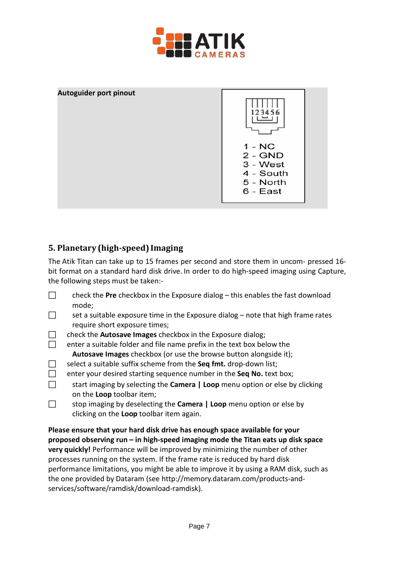



## <span id="page-6-0"></span>**5. Planetary (high-speed) Imaging**

The Atik Titan can take up to 15 frames per second and store them in uncom- pressed 16 bit format on a standard hard disk drive. In order to do high-speed imaging using Capture, the following steps must be taken:-

- □ check the **Pre** checkbox in the Exposure dialog this enables the fast download mode;
- $\Box$  set a suitable exposure time in the Exposure dialog note that high frame rates require short exposure times;
- check the **Autosave Images** checkbox in the Exposure dialog;
- $\Box$  enter a suitable folder and file name prefix in the text box below the **Autosave Images** checkbox (or use the browse button alongside it);
- □ select a suitable suffix scheme from the **Seq fmt.** drop-down list;
- enter your desired starting sequence number in the **Seq No.** text box;
- start imaging by selecting the **Camera | Loop** menu option or else by clicking on the **Loop** toolbar item;
- stop imaging by deselecting the **Camera | Loop** menu option or else by clicking on the **Loop** toolbar item again.

**Please ensure that your hard disk drive has enough space available for your proposed observing run – in high-speed imaging mode the Titan eats up disk space very quickly!** Performance will be improved by minimizing the number of other processes running on the system. If the frame rate is reduced by hard disk performance limitations, you might be able to improve it by using a RAM disk, such as the one provided by Dataram (see [http://memory.dataram.com/products-and](http://memory.dataram.com/products-and-services/software/ramdisk/download-ramdisk))[services/software/ramdisk/download-ramdisk\).](http://memory.dataram.com/products-and-services/software/ramdisk/download-ramdisk))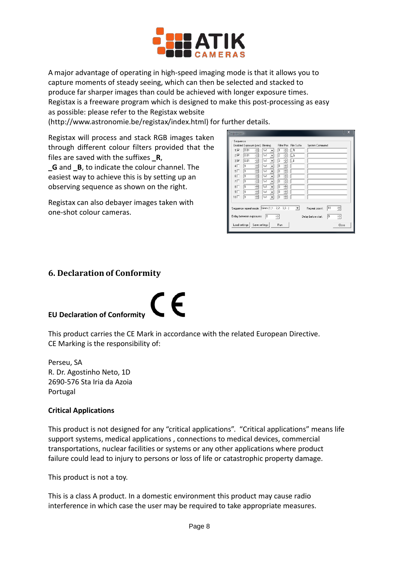

A major advantage of operating in high-speed imaging mode is that it allows you to capture moments of steady seeing, which can then be selected and stacked to produce far sharper images than could be achieved with longer exposure times. Registax is a freeware program which is designed to make this post-processing as easy as possible: please refer to the Registax website

[\(http://www.astronomie.be/registax/index.html](http://www.astronomie.be/registax/index.html)) for further details.

Registax will process and stack RGB images taken through different colour filters provided that the files are saved with the suffixes **\_R**,

**G** and **B**, to indicate the colour channel. The easiest way to achieve this is by setting up an observing sequence as shown on the right.

Registax can also debayer images taken with one-shot colour cameras.

| Sequence<br>$1\sqrt{2}$<br>$2\overline{\triangledown}$<br>з⊽<br>$4\Box$<br>$5\Box$<br>$6\Box$<br>7 <sup>1</sup><br>$8\Box$<br>9 <sup>1</sup><br>$10\Box$ | Enabled Exposure [sec] Binning<br>0.01<br>0.01<br>0.01<br>1<br>1<br>1<br>1<br>1<br>1<br>1 | ÷<br>÷<br>÷<br>÷<br>÷<br>÷<br>÷<br>÷<br>÷<br>÷ | 1x1<br>$\overline{\phantom{a}}$<br>1x1<br>1x1<br>1x1<br>1x1<br>1x1<br>$\overline{\phantom{a}}$<br>1x1<br>$\cdot$<br>1x1<br>$\cdot$<br>1x1<br>1x1<br>۰ | Filter Pos<br>÷<br>÷<br>2<br>÷<br>3<br>÷<br>o<br>÷<br>o<br>÷<br>o<br>÷<br>O<br>÷<br>o<br>÷<br>o<br>÷<br>lo | File Suffix<br>LR.<br>ĻĞ<br>LB | System Command                       |          |                 |
|----------------------------------------------------------------------------------------------------------------------------------------------------------|-------------------------------------------------------------------------------------------|------------------------------------------------|-------------------------------------------------------------------------------------------------------------------------------------------------------|------------------------------------------------------------------------------------------------------------|--------------------------------|--------------------------------------|----------|-----------------|
| Load settings                                                                                                                                            | Delay between exposures:                                                                  | Save settings                                  | Sequence repeat mode: Lines (1,1 2,2 3,3)<br>lo                                                                                                       | ÷<br><b>Run</b>                                                                                            | $\mathbf{v}$                   | Repeat count:<br>Delay before start: | 10<br>lo | 싂<br>싂<br>Close |

#### <span id="page-7-0"></span>**6. Declaration of Conformity**

#### **EU Declaration of Conformity**

This product carries the CE Mark in accordance with the related European Directive. CE Marking is the responsibility of:

CE

Perseu, SA R. Dr. Agostinho Neto, 1D 2690-576 Sta Iria da Azoia Portugal

#### **Critical Applications**

This product is not designed for any "critical applications". "Critical applications" means life support systems, medical applications , connections to medical devices, commercial transportations, nuclear facilities or systems or any other applications where product failure could lead to injury to persons or loss of life or catastrophic property damage.

This product is not a toy.

This is a class A product. In a domestic environment this product may cause radio interference in which case the user may be required to take appropriate measures.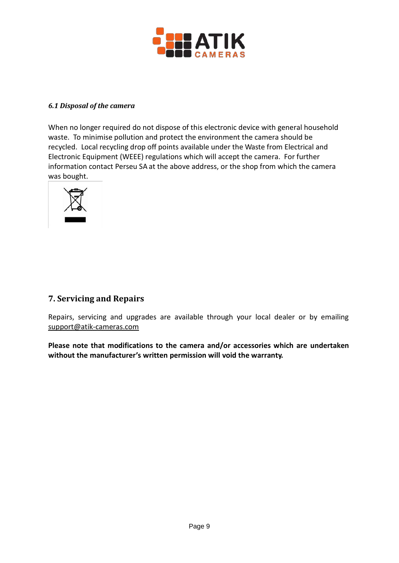

#### <span id="page-8-0"></span>*6.1 Disposal of the camera*

When no longer required do not dispose of this electronic device with general household waste. To minimise pollution and protect the environment the camera should be recycled. Local recycling drop off points available under the Waste from Electrical and Electronic Equipment (WEEE) regulations which will accept the camera. For further information contact Perseu SA at the above address, or the shop from which the camera was bought.



### <span id="page-8-1"></span>**7. Servicing and Repairs**

Repairs, servicing and upgrades are available through your local dealer or by emai[ling](mailto:support@atik-cameras.com) [support@atik-cameras.com](mailto:support@atik-cameras.com)

**Please note that modifications to the camera and/or accessories which are undertaken without the manufacturer's written permission will void the warranty.**